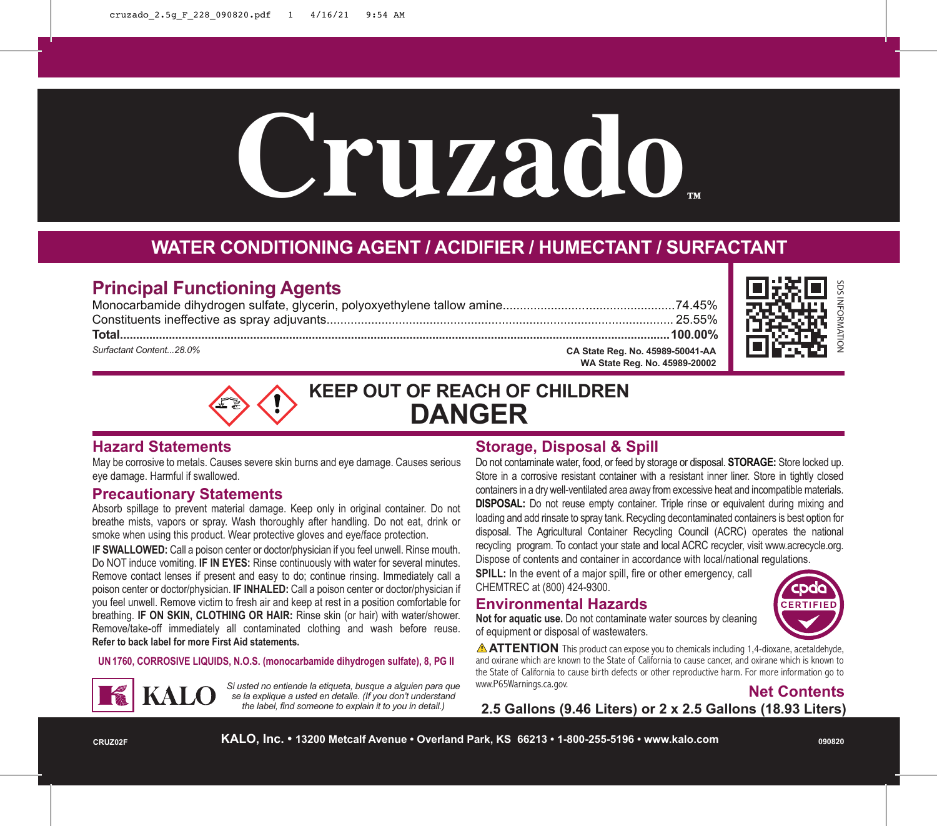# **Cruzado™**

# **WATER CONDITIONING AGENT / ACIDIFIER / HUMECTANT / SURFACTANT**

# **Principal Functioning Agents**

Monocarbamide dihydrogen sulfate, glycerin, polyoxyethylene tallow amine..................................................74.45% Constituents ineffective as spray adjuvants..................................................................................................... 25.55% **Total.........................................................................................................................................................................100.00%** *Surfactant Content...28.0%* **CA State Reg. No. 45989-50041-AA**



**KEEP OUT OF REACH OF CHILDREN DANGER**

# **Hazard Statements**

May be corrosive to metals. Causes severe skin burns and eye damage. Causes serious eye damage. Harmful if swallowed.

## **Precautionary Statements**

Absorb spillage to prevent material damage. Keep only in original container. Do not breathe mists, vapors or spray. Wash thoroughly after handling. Do not eat, drink or smoke when using this product. Wear protective gloves and eye/face protection.

I**F SWALLOWED:** Call a poison center or doctor/physician if you feel unwell. Rinse mouth. Do NOT induce vomiting. **IF IN EYES:** Rinse continuously with water for several minutes. Remove contact lenses if present and easy to do; continue rinsing. Immediately call a poison center or doctor/physician. **IF INHALED:** Call a poison center or doctor/physician if you feel unwell. Remove victim to fresh air and keep at rest in a position comfortable for breathing. **IF ON SKIN, CLOTHING OR HAIR:** Rinse skin (or hair) with water/shower. Remove/take-off immediately all contaminated clothing and wash before reuse. **Refer to back label for more First Aid statements.**

**UN1760, CORROSIVE LIQUIDS, N.O.S. (monocarbamide dihydrogen sulfate), 8, PG II**



*Si usted no entiende la etiqueta, busque a alguien para que se la explique a usted en detalle. (If you don't understand the label, find someone to explain it to you in detail.)*

# **Storage, Disposal & Spill**

Do not contaminate water, food, or feed by storage or disposal. **STORAGE:** Store locked up. Store in a corrosive resistant container with a resistant inner liner. Store in tightly closed containers in a dry well-ventilated area away from excessive heat and incompatible materials. **DISPOSAL:** Do not reuse empty container. Triple rinse or equivalent during mixing and loading and add rinsate to spray tank. Recycling decontaminated containers is best option for disposal. The Agricultural Container Recycling Council (ACRC) operates the national recycling program. To contact your state and local ACRC recycler, visit www.acrecycle.org. Dispose of contents and container in accordance with local/national regulations.

**WA State Reg. No. 45989-20002**

**SPILL:** In the event of a major spill, fire or other emergency, call CHEMTREC at (800) 424-9300.

# **Environmental Hazards**



**Not for aquatic use.** Do not contaminate water sources by cleaning of equipment or disposal of wastewaters.

**ATTENTION** This product can expose you to chemicals including 1,4-dioxane, acetaldehyde, and oxirane which are known to the State of California to cause cancer, and oxirane which is known to the State of California to cause birth defects or other reproductive harm. For more information go to www.P65Warnings.ca.gov.



**2.5 Gallons (9.46 Liters) or 2 x 2.5 Gallons (18.93 Liters)**

**CRUZ02F**

**KALO, Inc. • 13200 Metcalf Avenue • Overland Park, KS 66213 • 1-800-255-5196 • www.kalo.com**